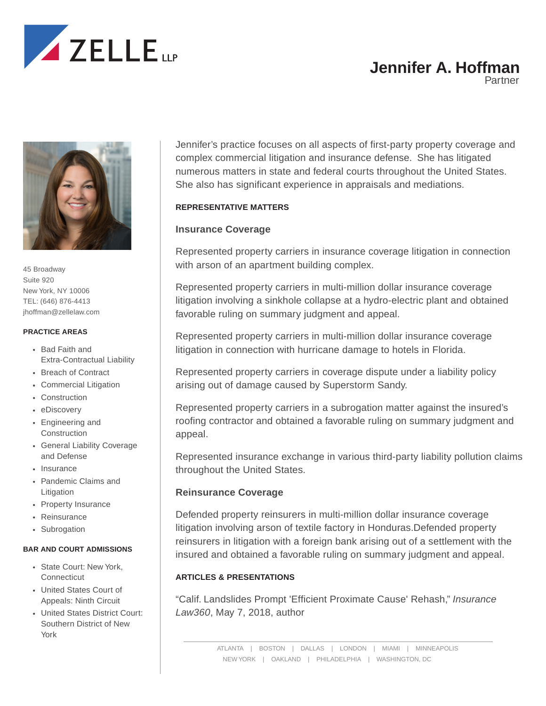

# **Jennifer A. Hoffman**

Partner



45 Broadway Suite 920 New York, NY 10006 TEL: (646) 876-4413 jhoffman@zellelaw.com

#### **PRACTICE AREAS**

- Bad Faith and Extra-Contractual Liability
- Breach of Contract
- Commercial Litigation
- Construction
- eDiscovery
- Engineering and Construction
- General Liability Coverage and Defense
- Insurance
- Pandemic Claims and Litigation
- Property Insurance
- Reinsurance
- Subrogation

### **BAR AND COURT ADMISSIONS**

- State Court: New York, **Connecticut**
- United States Court of Appeals: Ninth Circuit
- United States District Court: Southern District of New York

Jennifer's practice focuses on all aspects of first-party property coverage and complex commercial litigation and insurance defense. She has litigated numerous matters in state and federal courts throughout the United States. She also has significant experience in appraisals and mediations.

# **REPRESENTATIVE MATTERS**

# **Insurance Coverage**

Represented property carriers in insurance coverage litigation in connection with arson of an apartment building complex.

Represented property carriers in multi-million dollar insurance coverage litigation involving a sinkhole collapse at a hydro-electric plant and obtained favorable ruling on summary judgment and appeal.

Represented property carriers in multi-million dollar insurance coverage litigation in connection with hurricane damage to hotels in Florida.

Represented property carriers in coverage dispute under a liability policy arising out of damage caused by Superstorm Sandy.

Represented property carriers in a subrogation matter against the insured's roofing contractor and obtained a favorable ruling on summary judgment and appeal.

Represented insurance exchange in various third-party liability pollution claims throughout the United States.

# **Reinsurance Coverage**

Defended property reinsurers in multi-million dollar insurance coverage litigation involving arson of textile factory in Honduras.Defended property reinsurers in litigation with a foreign bank arising out of a settlement with the insured and obtained a favorable ruling on summary judgment and appeal.

# **ARTICLES & PRESENTATIONS**

"Calif. Landslides Prompt 'Efficient Proximate Cause' Rehash," *Insurance Law360*, May 7, 2018, author